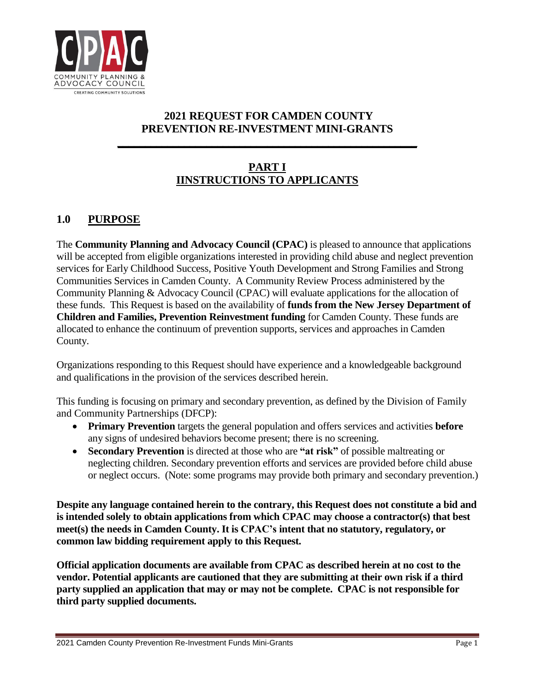

# **2021 REQUEST FOR CAMDEN COUNTY PREVENTION RE-INVESTMENT MINI-GRANTS**

**\_\_\_\_\_\_\_\_\_\_\_\_\_\_\_\_\_\_\_\_\_\_\_\_\_\_\_\_\_\_\_\_\_\_\_\_\_\_\_\_\_\_\_\_\_\_\_\_\_\_\_\_\_\_**

# **PART I IINSTRUCTIONS TO APPLICANTS**

# **1.0 PURPOSE**

The **Community Planning and Advocacy Council (CPAC)** is pleased to announce that applications will be accepted from eligible organizations interested in providing child abuse and neglect prevention services for Early Childhood Success, Positive Youth Development and Strong Families and Strong Communities Services in Camden County. A Community Review Process administered by the Community Planning & Advocacy Council (CPAC) will evaluate applications for the allocation of these funds. This Request is based on the availability of **funds from the New Jersey Department of Children and Families, Prevention Reinvestment funding** for Camden County. These funds are allocated to enhance the continuum of prevention supports, services and approaches in Camden County.

Organizations responding to this Request should have experience and a knowledgeable background and qualifications in the provision of the services described herein.

This funding is focusing on primary and secondary prevention, as defined by the Division of Family and Community Partnerships (DFCP):

- **Primary Prevention** targets the general population and offers services and activities **before** any signs of undesired behaviors become present; there is no screening.
- **Secondary Prevention** is directed at those who are **"at risk"** of possible maltreating or neglecting children. Secondary prevention efforts and services are provided before child abuse or neglect occurs. (Note: some programs may provide both primary and secondary prevention.)

**Despite any language contained herein to the contrary, this Request does not constitute a bid and is intended solely to obtain applications from which CPAC may choose a contractor(s) that best meet(s) the needs in Camden County. It is CPAC's intent that no statutory, regulatory, or common law bidding requirement apply to this Request.** 

**Official application documents are available from CPAC as described herein at no cost to the vendor. Potential applicants are cautioned that they are submitting at their own risk if a third party supplied an application that may or may not be complete. CPAC is not responsible for third party supplied documents.**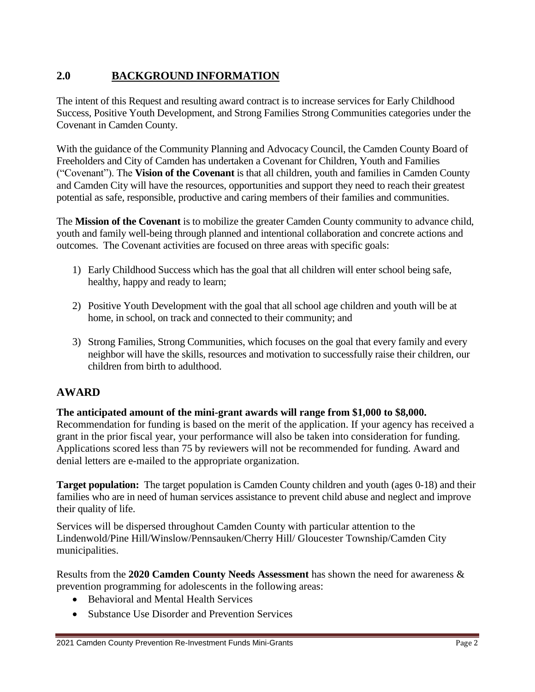# **2.0 BACKGROUND INFORMATION**

The intent of this Request and resulting award contract is to increase services for Early Childhood Success, Positive Youth Development, and Strong Families Strong Communities categories under the Covenant in Camden County.

With the guidance of the Community Planning and Advocacy Council, the Camden County Board of Freeholders and City of Camden has undertaken a Covenant for Children, Youth and Families ("Covenant"). The **Vision of the Covenant** is that all children, youth and families in Camden County and Camden City will have the resources, opportunities and support they need to reach their greatest potential as safe, responsible, productive and caring members of their families and communities.

The **Mission of the Covenant** is to mobilize the greater Camden County community to advance child, youth and family well-being through planned and intentional collaboration and concrete actions and outcomes. The Covenant activities are focused on three areas with specific goals:

- 1) Early Childhood Success which has the goal that all children will enter school being safe, healthy, happy and ready to learn;
- 2) Positive Youth Development with the goal that all school age children and youth will be at home, in school, on track and connected to their community; and
- 3) Strong Families, Strong Communities, which focuses on the goal that every family and every neighbor will have the skills, resources and motivation to successfully raise their children, our children from birth to adulthood.

## **AWARD**

#### **The anticipated amount of the mini-grant awards will range from \$1,000 to \$8,000.**

Recommendation for funding is based on the merit of the application. If your agency has received a grant in the prior fiscal year, your performance will also be taken into consideration for funding. Applications scored less than 75 by reviewers will not be recommended for funding. Award and denial letters are e-mailed to the appropriate organization.

**Target population:** The target population is Camden County children and youth (ages 0-18) and their families who are in need of human services assistance to prevent child abuse and neglect and improve their quality of life.

Services will be dispersed throughout Camden County with particular attention to the Lindenwold/Pine Hill/Winslow/Pennsauken/Cherry Hill/ Gloucester Township/Camden City municipalities.

Results from the **2020 Camden County Needs Assessment** has shown the need for awareness & prevention programming for adolescents in the following areas:

- Behavioral and Mental Health Services
- Substance Use Disorder and Prevention Services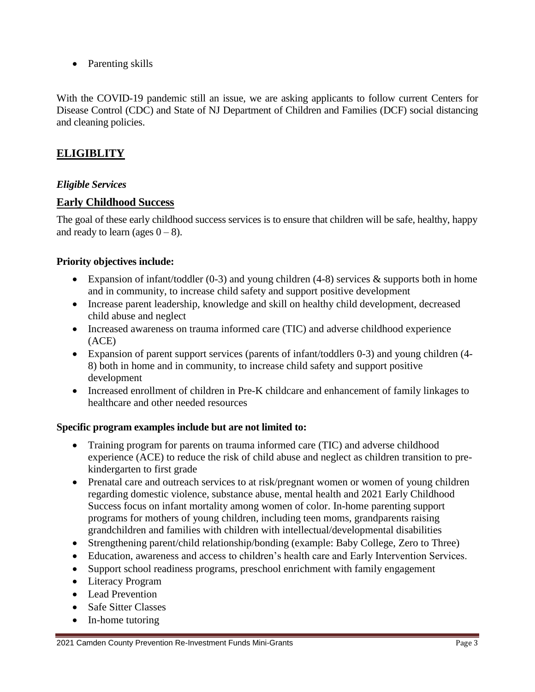• Parenting skills

With the COVID-19 pandemic still an issue, we are asking applicants to follow current Centers for Disease Control (CDC) and State of NJ Department of Children and Families (DCF) social distancing and cleaning policies.

# **ELIGIBLITY**

#### *Eligible Services*

#### **Early Childhood Success**

The goal of these early childhood success services is to ensure that children will be safe, healthy, happy and ready to learn (ages  $0 - 8$ ).

#### **Priority objectives include:**

- Expansion of infant/toddler  $(0-3)$  and young children  $(4-8)$  services & supports both in home and in community, to increase child safety and support positive development
- Increase parent leadership, knowledge and skill on healthy child development, decreased child abuse and neglect
- Increased awareness on trauma informed care (TIC) and adverse childhood experience (ACE)
- Expansion of parent support services (parents of infant/toddlers 0-3) and young children (4- 8) both in home and in community, to increase child safety and support positive development
- Increased enrollment of children in Pre-K childcare and enhancement of family linkages to healthcare and other needed resources

#### **Specific program examples include but are not limited to:**

- Training program for parents on trauma informed care (TIC) and adverse childhood experience (ACE) to reduce the risk of child abuse and neglect as children transition to prekindergarten to first grade
- Prenatal care and outreach services to at risk/pregnant women or women of young children regarding domestic violence, substance abuse, mental health and 2021 Early Childhood Success focus on infant mortality among women of color. In-home parenting support programs for mothers of young children, including teen moms, grandparents raising grandchildren and families with children with intellectual/developmental disabilities
- Strengthening parent/child relationship/bonding (example: Baby College, Zero to Three)
- Education, awareness and access to children's health care and Early Intervention Services.
- Support school readiness programs, preschool enrichment with family engagement
- Literacy Program
- Lead Prevention
- Safe Sitter Classes
- In-home tutoring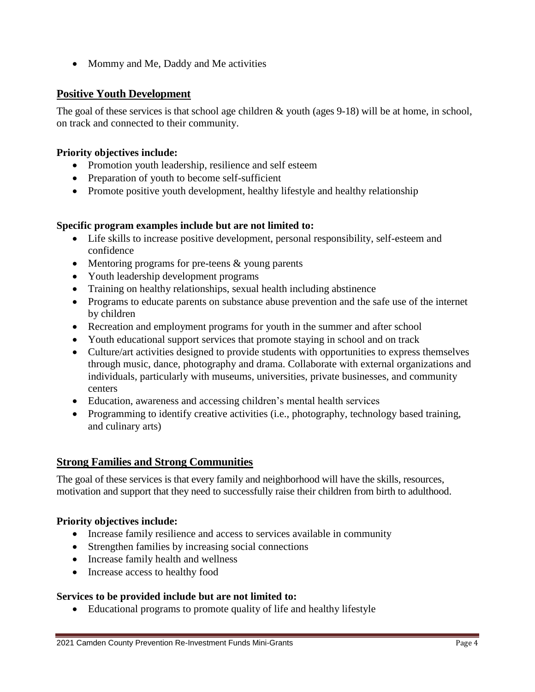• Mommy and Me, Daddy and Me activities

#### **Positive Youth Development**

The goal of these services is that school age children & youth (ages 9-18) will be at home, in school, on track and connected to their community.

#### **Priority objectives include:**

- Promotion youth leadership, resilience and self esteem
- Preparation of youth to become self-sufficient
- Promote positive youth development, healthy lifestyle and healthy relationship

#### **Specific program examples include but are not limited to:**

- Life skills to increase positive development, personal responsibility, self-esteem and confidence
- $\bullet$  Mentoring programs for pre-teens  $\&$  young parents
- Youth leadership development programs
- Training on healthy relationships, sexual health including abstinence
- Programs to educate parents on substance abuse prevention and the safe use of the internet by children
- Recreation and employment programs for youth in the summer and after school
- Youth educational support services that promote staying in school and on track
- Culture/art activities designed to provide students with opportunities to express themselves through music, dance, photography and drama. Collaborate with external organizations and individuals, particularly with museums, universities, private businesses, and community centers
- Education, awareness and accessing children's mental health services
- Programming to identify creative activities (i.e., photography, technology based training, and culinary arts)

## **Strong Families and Strong Communities**

The goal of these services is that every family and neighborhood will have the skills, resources, motivation and support that they need to successfully raise their children from birth to adulthood.

#### **Priority objectives include:**

- Increase family resilience and access to services available in community
- Strengthen families by increasing social connections
- Increase family health and wellness
- Increase access to healthy food

#### **Services to be provided include but are not limited to:**

Educational programs to promote quality of life and healthy lifestyle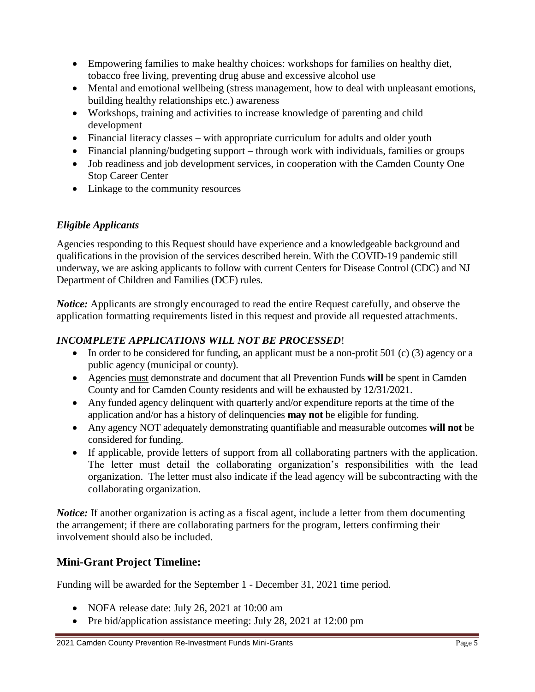- Empowering families to make healthy choices: workshops for families on healthy diet, tobacco free living, preventing drug abuse and excessive alcohol use
- Mental and emotional wellbeing (stress management, how to deal with unpleasant emotions, building healthy relationships etc.) awareness
- Workshops, training and activities to increase knowledge of parenting and child development
- Financial literacy classes with appropriate curriculum for adults and older youth
- Financial planning/budgeting support through work with individuals, families or groups
- Job readiness and job development services, in cooperation with the Camden County One Stop Career Center
- Linkage to the community resources

# *Eligible Applicants*

Agencies responding to this Request should have experience and a knowledgeable background and qualifications in the provision of the services described herein. With the COVID-19 pandemic still underway, we are asking applicants to follow with current Centers for Disease Control (CDC) and NJ Department of Children and Families (DCF) rules.

*Notice:* Applicants are strongly encouraged to read the entire Request carefully, and observe the application formatting requirements listed in this request and provide all requested attachments.

# *INCOMPLETE APPLICATIONS WILL NOT BE PROCESSED*!

- $\bullet$  In order to be considered for funding, an applicant must be a non-profit 501 (c) (3) agency or a public agency (municipal or county).
- Agencies must demonstrate and document that all Prevention Funds **will** be spent in Camden County and for Camden County residents and will be exhausted by 12/31/2021.
- Any funded agency delinquent with quarterly and/or expenditure reports at the time of the application and/or has a history of delinquencies **may not** be eligible for funding.
- Any agency NOT adequately demonstrating quantifiable and measurable outcomes **will not** be considered for funding.
- If applicable, provide letters of support from all collaborating partners with the application. The letter must detail the collaborating organization's responsibilities with the lead organization. The letter must also indicate if the lead agency will be subcontracting with the collaborating organization.

*Notice:* If another organization is acting as a fiscal agent, include a letter from them documenting the arrangement; if there are collaborating partners for the program, letters confirming their involvement should also be included.

# **Mini-Grant Project Timeline:**

Funding will be awarded for the September 1 - December 31, 2021 time period.

- NOFA release date: July 26, 2021 at 10:00 am
- Pre bid/application assistance meeting: July 28, 2021 at 12:00 pm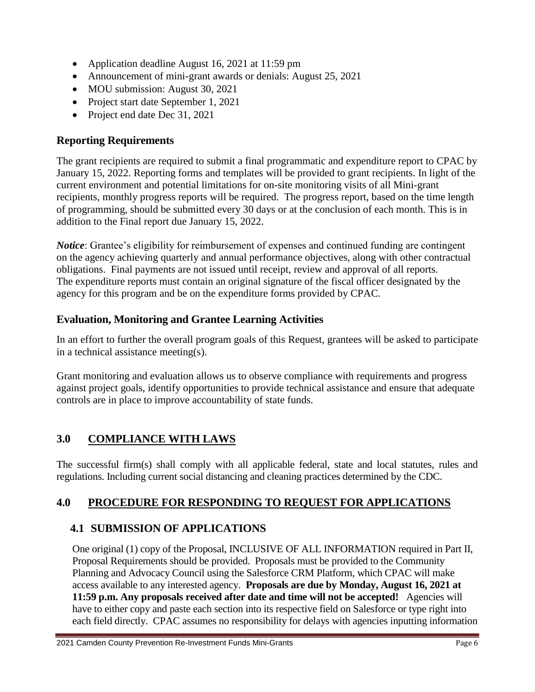- Application deadline August 16, 2021 at 11:59 pm
- Announcement of mini-grant awards or denials: August 25, 2021
- MOU submission: August 30, 2021
- Project start date September 1, 2021
- Project end date Dec 31, 2021

# **Reporting Requirements**

The grant recipients are required to submit a final programmatic and expenditure report to CPAC by January 15, 2022. Reporting forms and templates will be provided to grant recipients. In light of the current environment and potential limitations for on-site monitoring visits of all Mini-grant recipients, monthly progress reports will be required. The progress report, based on the time length of programming, should be submitted every 30 days or at the conclusion of each month. This is in addition to the Final report due January 15, 2022.

*Notice*: Grantee's eligibility for reimbursement of expenses and continued funding are contingent on the agency achieving quarterly and annual performance objectives, along with other contractual obligations. Final payments are not issued until receipt, review and approval of all reports. The expenditure reports must contain an original signature of the fiscal officer designated by the agency for this program and be on the expenditure forms provided by CPAC.

## **Evaluation, Monitoring and Grantee Learning Activities**

In an effort to further the overall program goals of this Request, grantees will be asked to participate in a technical assistance meeting(s).

Grant monitoring and evaluation allows us to observe compliance with requirements and progress against project goals, identify opportunities to provide technical assistance and ensure that adequate controls are in place to improve accountability of state funds.

# **3.0 COMPLIANCE WITH LAWS**

The successful firm(s) shall comply with all applicable federal, state and local statutes, rules and regulations. Including current social distancing and cleaning practices determined by the CDC.

## **4.0 PROCEDURE FOR RESPONDING TO REQUEST FOR APPLICATIONS**

## **4.1 SUBMISSION OF APPLICATIONS**

One original (1) copy of the Proposal, INCLUSIVE OF ALL INFORMATION required in Part II, Proposal Requirements should be provided. Proposals must be provided to the Community Planning and Advocacy Council using the Salesforce CRM Platform, which CPAC will make access available to any interested agency. **Proposals are due by Monday, August 16, 2021 at 11:59 p.m. Any proposals received after date and time will not be accepted!** Agencies will have to either copy and paste each section into its respective field on Salesforce or type right into each field directly. CPAC assumes no responsibility for delays with agencies inputting information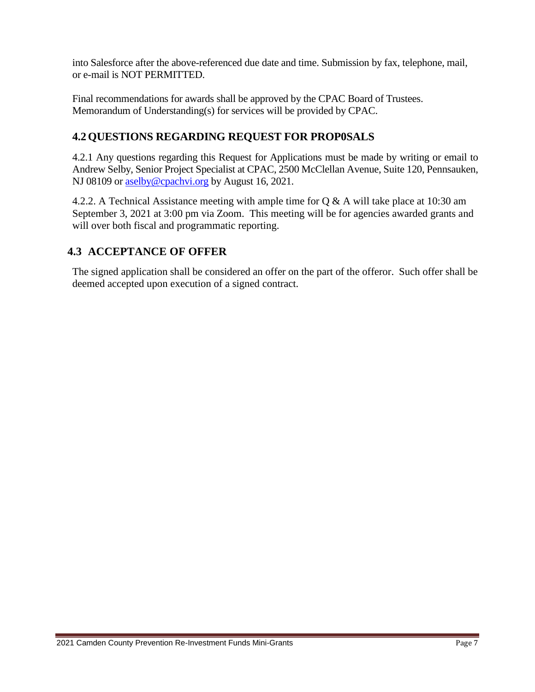into Salesforce after the above-referenced due date and time. Submission by fax, telephone, mail, or e-mail is NOT PERMITTED.

Final recommendations for awards shall be approved by the CPAC Board of Trustees. Memorandum of Understanding(s) for services will be provided by CPAC.

# **4.2 QUESTIONS REGARDING REQUEST FOR PROP0SALS**

4.2.1 Any questions regarding this Request for Applications must be made by writing or email to Andrew Selby, Senior Project Specialist at CPAC, 2500 McClellan Avenue, Suite 120, Pennsauken, NJ 08109 or [aselby@cpachvi.org](mailto:aselby@cpachvi.org) by August 16, 2021.

4.2.2. A Technical Assistance meeting with ample time for Q & A will take place at 10:30 am September 3, 2021 at 3:00 pm via Zoom. This meeting will be for agencies awarded grants and will over both fiscal and programmatic reporting.

# **4.3 ACCEPTANCE OF OFFER**

The signed application shall be considered an offer on the part of the offeror. Such offer shall be deemed accepted upon execution of a signed contract.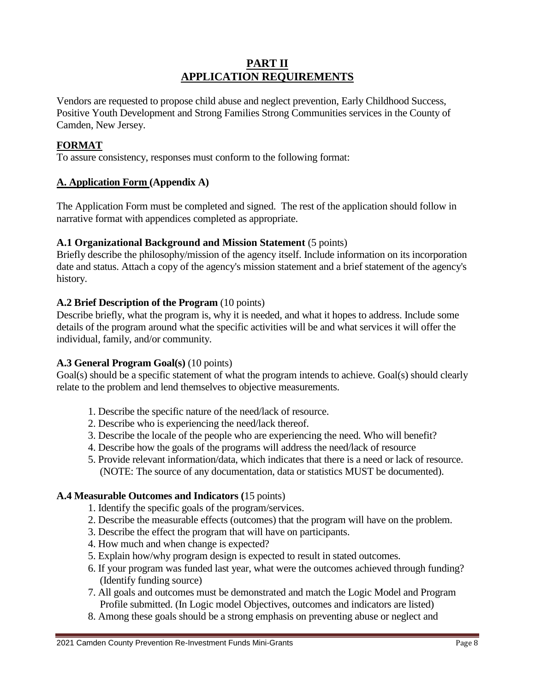## **PART II APPLICATION REQUIREMENTS**

Vendors are requested to propose child abuse and neglect prevention, Early Childhood Success, Positive Youth Development and Strong Families Strong Communities services in the County of Camden, New Jersey.

#### **FORMAT**

To assure consistency, responses must conform to the following format:

#### **A. Application Form (Appendix A)**

The Application Form must be completed and signed. The rest of the application should follow in narrative format with appendices completed as appropriate.

#### **A.1 Organizational Background and Mission Statement** (5 points)

Briefly describe the philosophy/mission of the agency itself. Include information on its incorporation date and status. Attach a copy of the agency's mission statement and a brief statement of the agency's history.

#### **A.2 Brief Description of the Program** (10 points)

Describe briefly, what the program is, why it is needed, and what it hopes to address. Include some details of the program around what the specific activities will be and what services it will offer the individual, family, and/or community.

#### **A.3 General Program Goal(s)** (10 points)

Goal(s) should be a specific statement of what the program intends to achieve. Goal(s) should clearly relate to the problem and lend themselves to objective measurements.

- 1. Describe the specific nature of the need/lack of resource.
- 2. Describe who is experiencing the need/lack thereof.
- 3. Describe the locale of the people who are experiencing the need. Who will benefit?
- 4. Describe how the goals of the programs will address the need/lack of resource
- 5. Provide relevant information/data, which indicates that there is a need or lack of resource. (NOTE: The source of any documentation, data or statistics MUST be documented).

#### **A.4 Measurable Outcomes and Indicators (**15 points)

- 1. Identify the specific goals of the program/services.
- 2. Describe the measurable effects (outcomes) that the program will have on the problem.
- 3. Describe the effect the program that will have on participants.
- 4. How much and when change is expected?
- 5. Explain how/why program design is expected to result in stated outcomes.
- 6. If your program was funded last year, what were the outcomes achieved through funding? (Identify funding source)
- 7. All goals and outcomes must be demonstrated and match the Logic Model and Program Profile submitted. (In Logic model Objectives, outcomes and indicators are listed)
- 8. Among these goals should be a strong emphasis on preventing abuse or neglect and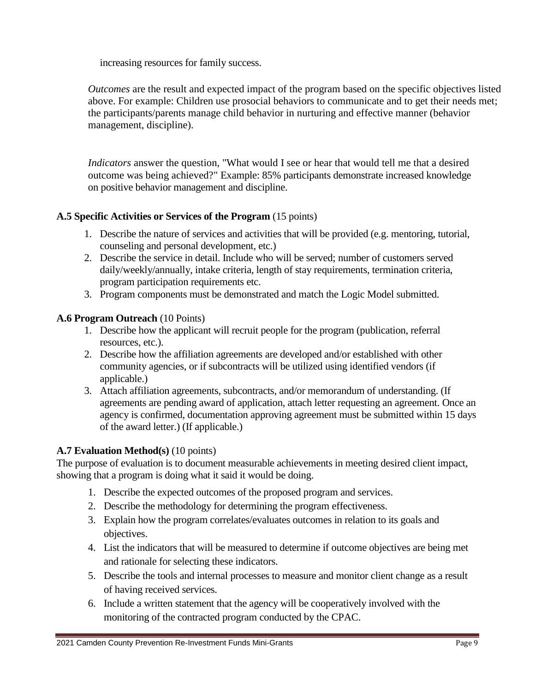increasing resources for family success.

*Outcomes* are the result and expected impact of the program based on the specific objectives listed above. For example: Children use prosocial behaviors to communicate and to get their needs met; the participants/parents manage child behavior in nurturing and effective manner (behavior management, discipline).

*Indicators* answer the question, "What would I see or hear that would tell me that a desired outcome was being achieved?" Example: 85% participants demonstrate increased knowledge on positive behavior management and discipline.

#### **A.5 Specific Activities or Services of the Program** (15 points)

- 1. Describe the nature of services and activities that will be provided (e.g. mentoring, tutorial, counseling and personal development, etc.)
- 2. Describe the service in detail. Include who will be served; number of customers served daily/weekly/annually, intake criteria, length of stay requirements, termination criteria, program participation requirements etc.
- 3. Program components must be demonstrated and match the Logic Model submitted.

#### **A.6 Program Outreach** (10 Points)

- 1. Describe how the applicant will recruit people for the program (publication, referral resources, etc.).
- 2. Describe how the affiliation agreements are developed and/or established with other community agencies, or if subcontracts will be utilized using identified vendors (if applicable.)
- 3. Attach affiliation agreements, subcontracts, and/or memorandum of understanding. (If agreements are pending award of application, attach letter requesting an agreement. Once an agency is confirmed, documentation approving agreement must be submitted within 15 days of the award letter.) (If applicable.)

#### **A.7 Evaluation Method(s)** (10 points)

The purpose of evaluation is to document measurable achievements in meeting desired client impact, showing that a program is doing what it said it would be doing.

- 1. Describe the expected outcomes of the proposed program and services.
- 2. Describe the methodology for determining the program effectiveness.
- 3. Explain how the program correlates/evaluates outcomes in relation to its goals and objectives.
- 4. List the indicators that will be measured to determine if outcome objectives are being met and rationale for selecting these indicators.
- 5. Describe the tools and internal processes to measure and monitor client change as a result of having received services.
- 6. Include a written statement that the agency will be cooperatively involved with the monitoring of the contracted program conducted by the CPAC.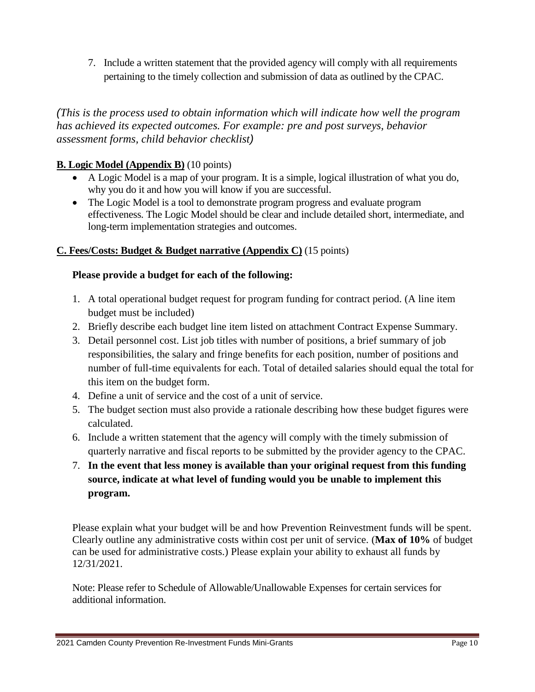7. Include a written statement that the provided agency will comply with all requirements pertaining to the timely collection and submission of data as outlined by the CPAC.

*(This is the process used to obtain information which will indicate how well the program has achieved its expected outcomes. For example: pre and post surveys, behavior assessment forms, child behavior checklist)*

## **B. Logic Model (Appendix B)** (10 points)

- A Logic Model is a map of your program. It is a simple, logical illustration of what you do, why you do it and how you will know if you are successful.
- The Logic Model is a tool to demonstrate program progress and evaluate program effectiveness. The Logic Model should be clear and include detailed short, intermediate, and long-term implementation strategies and outcomes.

#### **C. Fees/Costs: Budget & Budget narrative (Appendix C)** (15 points)

#### **Please provide a budget for each of the following:**

- 1. A total operational budget request for program funding for contract period. (A line item budget must be included)
- 2. Briefly describe each budget line item listed on attachment Contract Expense Summary.
- 3. Detail personnel cost. List job titles with number of positions, a brief summary of job responsibilities, the salary and fringe benefits for each position, number of positions and number of full-time equivalents for each. Total of detailed salaries should equal the total for this item on the budget form.
- 4. Define a unit of service and the cost of a unit of service.
- 5. The budget section must also provide a rationale describing how these budget figures were calculated.
- 6. Include a written statement that the agency will comply with the timely submission of quarterly narrative and fiscal reports to be submitted by the provider agency to the CPAC.
- 7. **In the event that less money is available than your original request from this funding source, indicate at what level of funding would you be unable to implement this program.**

Please explain what your budget will be and how Prevention Reinvestment funds will be spent. Clearly outline any administrative costs within cost per unit of service. (**Max of 10%** of budget can be used for administrative costs.) Please explain your ability to exhaust all funds by 12/31/2021.

Note: Please refer to Schedule of Allowable/Unallowable Expenses for certain services for additional information.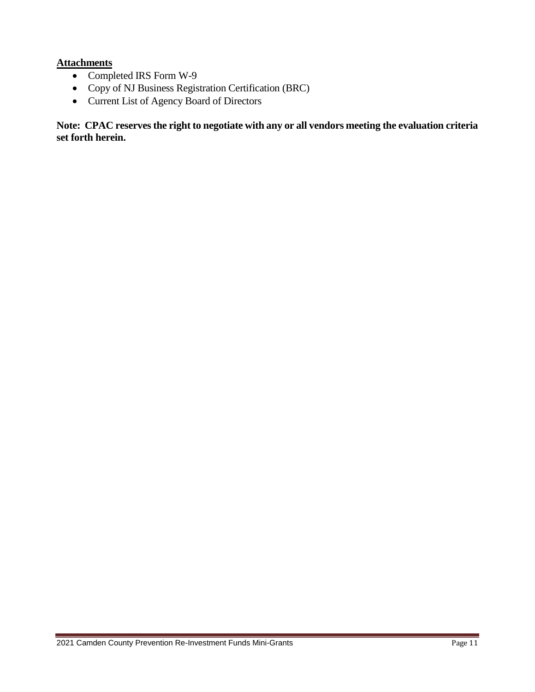#### **Attachments**

- Completed IRS Form W-9
- Copy of NJ Business Registration Certification (BRC)
- Current List of Agency Board of Directors

**Note: CPAC reserves the right to negotiate with any or all vendors meeting the evaluation criteria set forth herein.**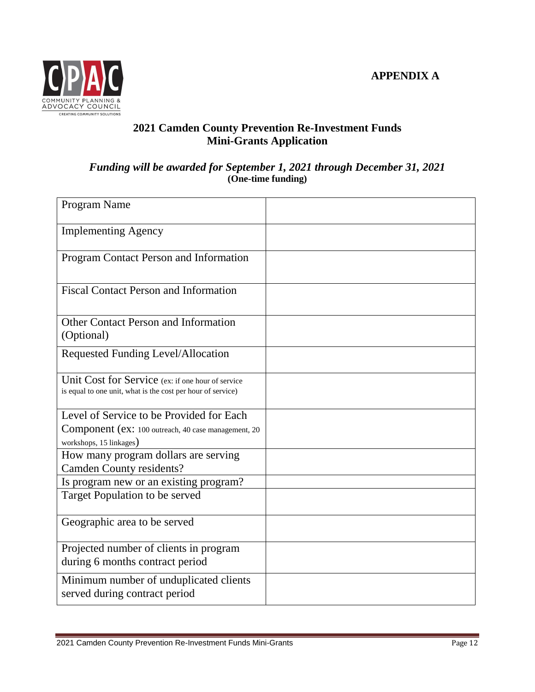

# **2021 Camden County Prevention Re-Investment Funds Mini-Grants Application**

#### *Funding will be awarded for September 1, 2021 through December 31, 2021* **(One-time funding)**

| Program Name                                                                                                     |  |
|------------------------------------------------------------------------------------------------------------------|--|
| <b>Implementing Agency</b>                                                                                       |  |
| Program Contact Person and Information                                                                           |  |
| <b>Fiscal Contact Person and Information</b>                                                                     |  |
| <b>Other Contact Person and Information</b><br>(Optional)                                                        |  |
| Requested Funding Level/Allocation                                                                               |  |
| Unit Cost for Service (ex: if one hour of service<br>is equal to one unit, what is the cost per hour of service) |  |
| Level of Service to be Provided for Each                                                                         |  |
| Component (ex: 100 outreach, 40 case management, 20                                                              |  |
| workshops, 15 linkages)                                                                                          |  |
| How many program dollars are serving                                                                             |  |
| <b>Camden County residents?</b>                                                                                  |  |
| Is program new or an existing program?                                                                           |  |
| Target Population to be served                                                                                   |  |
| Geographic area to be served                                                                                     |  |
| Projected number of clients in program<br>during 6 months contract period                                        |  |
| Minimum number of unduplicated clients<br>served during contract period                                          |  |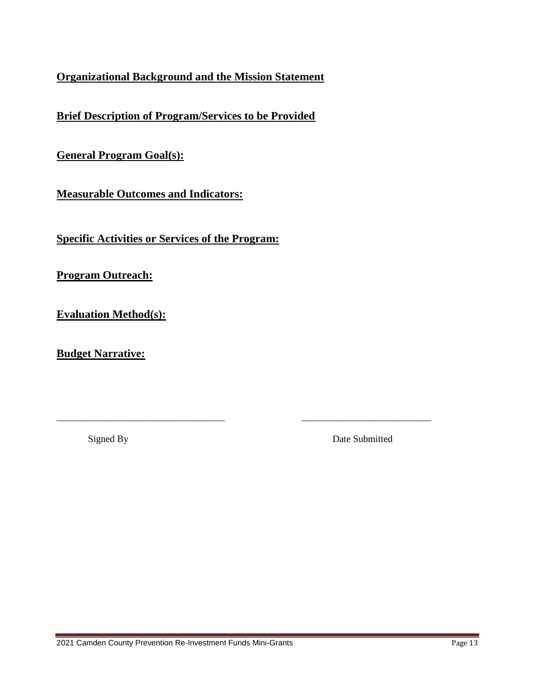# **Organizational Background and the Mission Statement**

**Brief Description of Program/Services to be Provided**

**General Program Goal(s):**

**Measurable Outcomes and Indicators:**

**Specific Activities or Services of the Program:** 

\_\_\_\_\_\_\_\_\_\_\_\_\_\_\_\_\_\_\_\_\_\_\_\_\_\_\_\_\_\_\_\_\_\_\_ \_\_\_\_\_\_\_\_\_\_\_\_\_\_\_\_\_\_\_\_\_\_\_\_\_\_\_

**Program Outreach:**

**Evaluation Method(s):**

**Budget Narrative:**

Signed By Date Submitted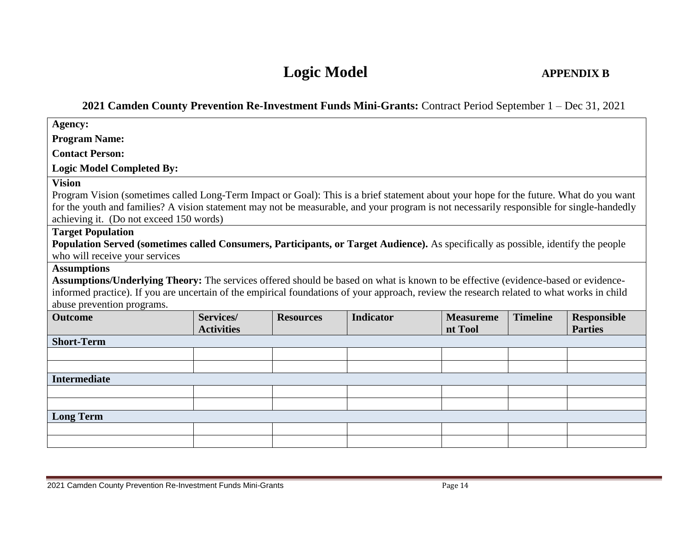# **Logic Model APPENDIX B**

# **2021 Camden County Prevention Re-Investment Funds Mini-Grants:** Contract Period September 1 – Dec 31, 2021

| <b>Agency:</b>                                                                                                                                                 |                                |                  |                  |                             |                 |                                      |
|----------------------------------------------------------------------------------------------------------------------------------------------------------------|--------------------------------|------------------|------------------|-----------------------------|-----------------|--------------------------------------|
| <b>Program Name:</b>                                                                                                                                           |                                |                  |                  |                             |                 |                                      |
| <b>Contact Person:</b>                                                                                                                                         |                                |                  |                  |                             |                 |                                      |
| <b>Logic Model Completed By:</b>                                                                                                                               |                                |                  |                  |                             |                 |                                      |
| <b>Vision</b>                                                                                                                                                  |                                |                  |                  |                             |                 |                                      |
| Program Vision (sometimes called Long-Term Impact or Goal): This is a brief statement about your hope for the future. What do you want                         |                                |                  |                  |                             |                 |                                      |
| for the youth and families? A vision statement may not be measurable, and your program is not necessarily responsible for single-handedly                      |                                |                  |                  |                             |                 |                                      |
| achieving it. (Do not exceed 150 words)                                                                                                                        |                                |                  |                  |                             |                 |                                      |
| <b>Target Population</b><br>Population Served (sometimes called Consumers, Participants, or Target Audience). As specifically as possible, identify the people |                                |                  |                  |                             |                 |                                      |
| who will receive your services                                                                                                                                 |                                |                  |                  |                             |                 |                                      |
| <b>Assumptions</b>                                                                                                                                             |                                |                  |                  |                             |                 |                                      |
| Assumptions/Underlying Theory: The services offered should be based on what is known to be effective (evidence-based or evidence-                              |                                |                  |                  |                             |                 |                                      |
| informed practice). If you are uncertain of the empirical foundations of your approach, review the research related to what works in child                     |                                |                  |                  |                             |                 |                                      |
| abuse prevention programs.                                                                                                                                     |                                |                  |                  |                             |                 |                                      |
| <b>Outcome</b>                                                                                                                                                 | Services/<br><b>Activities</b> | <b>Resources</b> | <b>Indicator</b> | <b>Measureme</b><br>nt Tool | <b>Timeline</b> | <b>Responsible</b><br><b>Parties</b> |
| <b>Short-Term</b>                                                                                                                                              |                                |                  |                  |                             |                 |                                      |
|                                                                                                                                                                |                                |                  |                  |                             |                 |                                      |
|                                                                                                                                                                |                                |                  |                  |                             |                 |                                      |
| <b>Intermediate</b>                                                                                                                                            |                                |                  |                  |                             |                 |                                      |
|                                                                                                                                                                |                                |                  |                  |                             |                 |                                      |
|                                                                                                                                                                |                                |                  |                  |                             |                 |                                      |
| <b>Long Term</b>                                                                                                                                               |                                |                  |                  |                             |                 |                                      |
|                                                                                                                                                                |                                |                  |                  |                             |                 |                                      |
|                                                                                                                                                                |                                |                  |                  |                             |                 |                                      |

2021 Camden County Prevention Re-Investment Funds Mini-Grants **Page 14** Page 14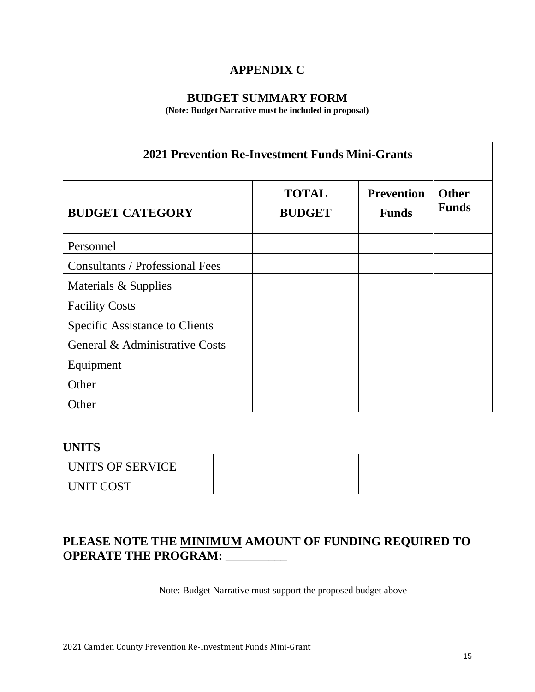# **APPENDIX C**

# **BUDGET SUMMARY FORM**

**(Note: Budget Narrative must be included in proposal)**

| <b>2021 Prevention Re-Investment Funds Mini-Grants</b> |                               |                                   |                              |  |
|--------------------------------------------------------|-------------------------------|-----------------------------------|------------------------------|--|
| <b>BUDGET CATEGORY</b>                                 | <b>TOTAL</b><br><b>BUDGET</b> | <b>Prevention</b><br><b>Funds</b> | <b>Other</b><br><b>Funds</b> |  |
| Personnel                                              |                               |                                   |                              |  |
| <b>Consultants / Professional Fees</b>                 |                               |                                   |                              |  |
| Materials & Supplies                                   |                               |                                   |                              |  |
| <b>Facility Costs</b>                                  |                               |                                   |                              |  |
| <b>Specific Assistance to Clients</b>                  |                               |                                   |                              |  |
| General & Administrative Costs                         |                               |                                   |                              |  |
| Equipment                                              |                               |                                   |                              |  |
| Other                                                  |                               |                                   |                              |  |
| Other                                                  |                               |                                   |                              |  |

## **UNITS**

| UNITS OF SERVICE |  |
|------------------|--|
| UNIT COST        |  |

# **PLEASE NOTE THE MINIMUM AMOUNT OF FUNDING REQUIRED TO OPERATE THE PROGRAM: \_\_\_\_\_\_\_\_\_\_**

Note: Budget Narrative must support the proposed budget above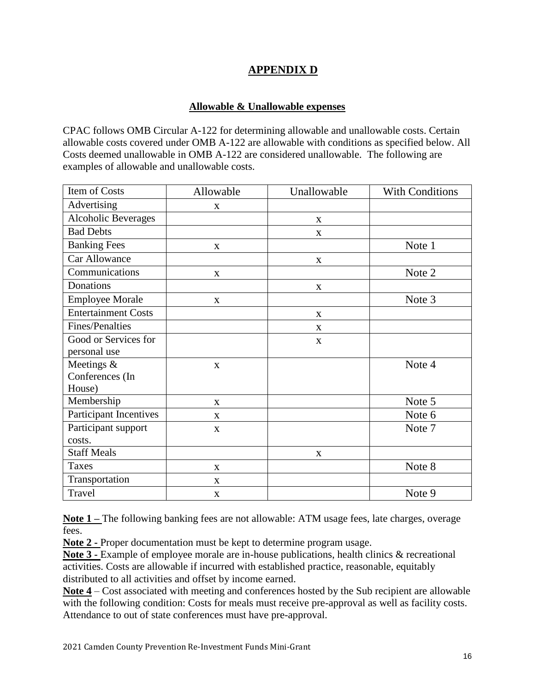# **APPENDIX D**

#### **Allowable & Unallowable expenses**

CPAC follows OMB Circular A-122 for determining allowable and unallowable costs. Certain allowable costs covered under OMB A-122 are allowable with conditions as specified below. All Costs deemed unallowable in OMB A-122 are considered unallowable. The following are examples of allowable and unallowable costs.

| Item of Costs              | Allowable    | Unallowable | <b>With Conditions</b> |
|----------------------------|--------------|-------------|------------------------|
| Advertising                | X            |             |                        |
| <b>Alcoholic Beverages</b> |              | X           |                        |
| <b>Bad Debts</b>           |              | X           |                        |
| <b>Banking Fees</b>        | X            |             | Note 1                 |
| Car Allowance              |              | $\mathbf X$ |                        |
| Communications             | $\mathbf X$  |             | Note 2                 |
| Donations                  |              | X           |                        |
| <b>Employee Morale</b>     | $\mathbf X$  |             | Note 3                 |
| <b>Entertainment Costs</b> |              | X           |                        |
| Fines/Penalties            |              | X           |                        |
| Good or Services for       |              | X           |                        |
| personal use               |              |             |                        |
| Meetings $&$               | X            |             | Note 4                 |
| Conferences (In            |              |             |                        |
| House)                     |              |             |                        |
| Membership                 | X            |             | Note 5                 |
| Participant Incentives     | X            |             | Note 6                 |
| Participant support        | X            |             | Note 7                 |
| costs.                     |              |             |                        |
| <b>Staff Meals</b>         |              | X           |                        |
| <b>Taxes</b>               | $\mathbf{X}$ |             | Note 8                 |
| Transportation             | $\mathbf X$  |             |                        |
| Travel                     | $\mathbf X$  |             | Note 9                 |

**Note 1 –** The following banking fees are not allowable: ATM usage fees, late charges, overage fees.

**Note 2 -** Proper documentation must be kept to determine program usage.

**Note 3 -** Example of employee morale are in-house publications, health clinics & recreational activities. Costs are allowable if incurred with established practice, reasonable, equitably distributed to all activities and offset by income earned.

**Note 4** – Cost associated with meeting and conferences hosted by the Sub recipient are allowable with the following condition: Costs for meals must receive pre-approval as well as facility costs. Attendance to out of state conferences must have pre-approval.